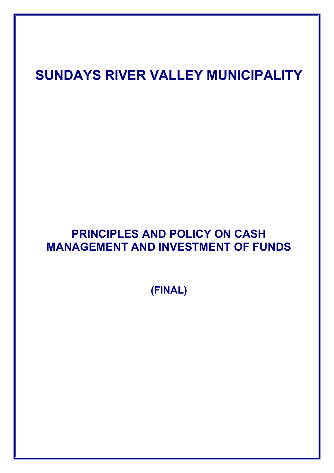# **SUNDAYS RIVER VALLEY MUNICIPALITY**

# **PRINCIPLES AND POLICY ON CASH MANAGEMENT AND INVESTMENT OF FUNDS**

**(FINAL)**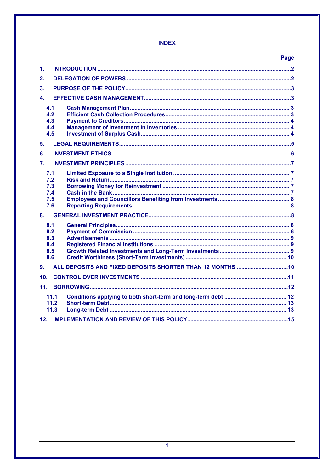# **INDEX**

|                                        |                      | Page |  |
|----------------------------------------|----------------------|------|--|
| 1.                                     |                      |      |  |
| 2.                                     |                      |      |  |
| 3.                                     |                      |      |  |
| $\mathbf{4}$                           |                      |      |  |
| 4.1<br>4.2<br>4.3<br>4.4<br>4.5        |                      |      |  |
| 5.                                     |                      |      |  |
| 6.                                     |                      |      |  |
| 7.                                     |                      |      |  |
| 7.1<br>7.2<br>7.3<br>7.4<br>7.5<br>7.6 |                      |      |  |
| 8.                                     |                      |      |  |
| 8.1<br>8.2<br>8.3<br>8.4<br>8.5<br>8.6 |                      |      |  |
| 9.                                     |                      |      |  |
| 10.                                    |                      |      |  |
| 11.                                    |                      |      |  |
|                                        | 11.1<br>11.2<br>11.3 |      |  |
|                                        |                      |      |  |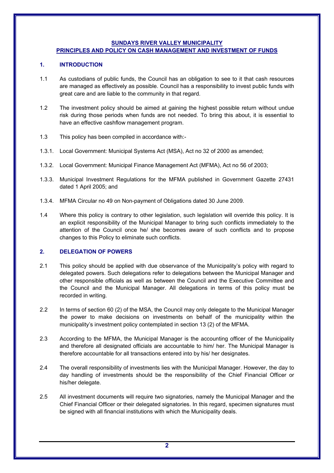#### **SUNDAYS RIVER VALLEY MUNICIPALITY**

# **PRINCIPLES AND POLICY ON CASH MANAGEMENT AND INVESTMENT OF FUNDS**

# **1. INTRODUCTION**

- 1.1 As custodians of public funds, the Council has an obligation to see to it that cash resources are managed as effectively as possible. Council has a responsibility to invest public funds with great care and are liable to the community in that regard.
- 1.2 The investment policy should be aimed at gaining the highest possible return without undue risk during those periods when funds are not needed. To bring this about, it is essential to have an effective cashflow management program.
- 1.3 This policy has been compiled in accordance with:-
- 1.3.1. Local Government: Municipal Systems Act (MSA), Act no 32 of 2000 as amended;
- 1.3.2. Local Government: Municipal Finance Management Act (MFMA), Act no 56 of 2003;
- 1.3.3. Municipal Investment Regulations for the MFMA published in Government Gazette 27431 dated 1 April 2005; and
- 1.3.4. MFMA Circular no 49 on Non-payment of Obligations dated 30 June 2009.
- 1.4 Where this policy is contrary to other legislation, such legislation will override this policy. It is an explicit responsibility of the Municipal Manager to bring such conflicts immediately to the attention of the Council once he/ she becomes aware of such conflicts and to propose changes to this Policy to eliminate such conflicts.

# **2. DELEGATION OF POWERS**

- 2.1 This policy should be applied with due observance of the Municipality's policy with regard to delegated powers. Such delegations refer to delegations between the Municipal Manager and other responsible officials as well as between the Council and the Executive Committee and the Council and the Municipal Manager. All delegations in terms of this policy must be recorded in writing.
- 2.2 In terms of section 60 (2) of the MSA, the Council may only delegate to the Municipal Manager the power to make decisions on investments on behalf of the municipality within the municipality's investment policy contemplated in section 13 (2) of the MFMA.
- 2.3 According to the MFMA, the Municipal Manager is the accounting officer of the Municipality and therefore all designated officials are accountable to him/ her. The Municipal Manager is therefore accountable for all transactions entered into by his/ her designates.
- 2.4 The overall responsibility of investments lies with the Municipal Manager. However, the day to day handling of investments should be the responsibility of the Chief Financial Officer or his/her delegate.
- 2.5 All investment documents will require two signatories, namely the Municipal Manager and the Chief Financial Officer or their delegated signatories. In this regard, specimen signatures must be signed with all financial institutions with which the Municipality deals.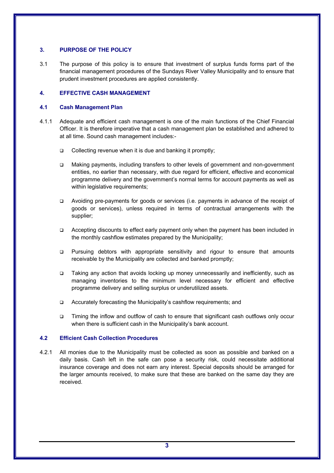# **3. PURPOSE OF THE POLICY**

3.1 The purpose of this policy is to ensure that investment of surplus funds forms part of the financial management procedures of the Sundays River Valley Municipality and to ensure that prudent investment procedures are applied consistently.

# **4. EFFECTIVE CASH MANAGEMENT**

# **4.1 Cash Management Plan**

- 4.1.1 Adequate and efficient cash management is one of the main functions of the Chief Financial Officer. It is therefore imperative that a cash management plan be established and adhered to at all time. Sound cash management includes:-
	- Collecting revenue when it is due and banking it promptly;
	- Making payments, including transfers to other levels of government and non-government entities, no earlier than necessary, with due regard for efficient, effective and economical programme delivery and the government's normal terms for account payments as well as within legislative requirements;
	- Avoiding pre-payments for goods or services (i.e. payments in advance of the receipt of goods or services), unless required in terms of contractual arrangements with the supplier;
	- Accepting discounts to effect early payment only when the payment has been included in the monthly cashflow estimates prepared by the Municipality;
	- Pursuing debtors with appropriate sensitivity and rigour to ensure that amounts receivable by the Municipality are collected and banked promptly;
	- Taking any action that avoids locking up money unnecessarily and inefficiently, such as managing inventories to the minimum level necessary for efficient and effective programme delivery and selling surplus or underutilized assets.
	- □ Accurately forecasting the Municipality's cashflow requirements; and
	- Timing the inflow and outflow of cash to ensure that significant cash outflows only occur when there is sufficient cash in the Municipality's bank account.

# **4.2 Efficient Cash Collection Procedures**

4.2.1 All monies due to the Municipality must be collected as soon as possible and banked on a daily basis. Cash left in the safe can pose a security risk, could necessitate additional insurance coverage and does not earn any interest. Special deposits should be arranged for the larger amounts received, to make sure that these are banked on the same day they are received.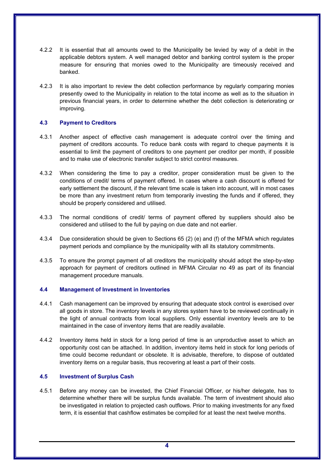- 4.2.2 It is essential that all amounts owed to the Municipality be levied by way of a debit in the applicable debtors system. A well managed debtor and banking control system is the proper measure for ensuring that monies owed to the Municipality are timeously received and banked.
- 4.2.3 It is also important to review the debt collection performance by regularly comparing monies presently owed to the Municipality in relation to the total income as well as to the situation in previous financial years, in order to determine whether the debt collection is deteriorating or improving.

# **4.3 Payment to Creditors**

- 4.3.1 Another aspect of effective cash management is adequate control over the timing and payment of creditors accounts. To reduce bank costs with regard to cheque payments it is essential to limit the payment of creditors to one payment per creditor per month, if possible and to make use of electronic transfer subject to strict control measures.
- 4.3.2 When considering the time to pay a creditor, proper consideration must be given to the conditions of credit/ terms of payment offered. In cases where a cash discount is offered for early settlement the discount, if the relevant time scale is taken into account, will in most cases be more than any investment return from temporarily investing the funds and if offered, they should be properly considered and utilised.
- 4.3.3 The normal conditions of credit/ terms of payment offered by suppliers should also be considered and utilised to the full by paying on due date and not earlier.
- 4.3.4 Due consideration should be given to Sections 65 (2) (e) and (f) of the MFMA which regulates payment periods and compliance by the municipality with all its statutory commitments.
- 4.3.5 To ensure the prompt payment of all creditors the municipality should adopt the step-by-step approach for payment of creditors outlined in MFMA Circular no 49 as part of its financial management procedure manuals.

# **4.4 Management of Investment in Inventories**

- 4.4.1 Cash management can be improved by ensuring that adequate stock control is exercised over all goods in store. The inventory levels in any stores system have to be reviewed continually in the light of annual contracts from local suppliers. Only essential inventory levels are to be maintained in the case of inventory items that are readily available.
- 4.4.2 Inventory items held in stock for a long period of time is an unproductive asset to which an opportunity cost can be attached. In addition, inventory items held in stock for long periods of time could become redundant or obsolete. It is advisable, therefore, to dispose of outdated inventory items on a regular basis, thus recovering at least a part of their costs.

# **4.5 Investment of Surplus Cash**

4.5.1 Before any money can be invested, the Chief Financial Officer, or his/her delegate, has to determine whether there will be surplus funds available. The term of investment should also be investigated in relation to projected cash outflows. Prior to making investments for any fixed term, it is essential that cashflow estimates be compiled for at least the next twelve months.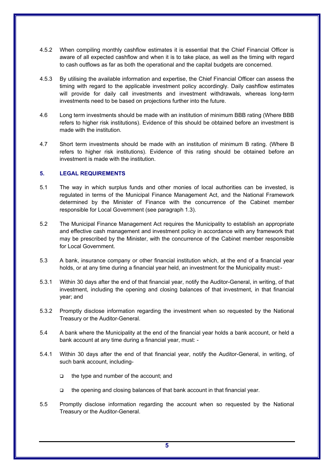- 4.5.2 When compiling monthly cashflow estimates it is essential that the Chief Financial Officer is aware of all expected cashflow and when it is to take place, as well as the timing with regard to cash outflows as far as both the operational and the capital budgets are concerned.
- 4.5.3 By utilising the available information and expertise, the Chief Financial Officer can assess the timing with regard to the applicable investment policy accordingly. Daily cashflow estimates will provide for daily call investments and investment withdrawals, whereas long-term investments need to be based on projections further into the future.
- 4.6 Long term investments should be made with an institution of minimum BBB rating (Where BBB refers to higher risk institutions). Evidence of this should be obtained before an investment is made with the institution.
- 4.7 Short term investments should be made with an institution of minimum B rating. (Where B refers to higher risk institutions). Evidence of this rating should be obtained before an investment is made with the institution.

# **5. LEGAL REQUIREMENTS**

- 5.1 The way in which surplus funds and other monies of local authorities can be invested, is regulated in terms of the Municipal Finance Management Act, and the National Framework determined by the Minister of Finance with the concurrence of the Cabinet member responsible for Local Government (see paragraph 1.3).
- 5.2 The Municipal Finance Management Act requires the Municipality to establish an appropriate and effective cash management and investment policy in accordance with any framework that may be prescribed by the Minister, with the concurrence of the Cabinet member responsible for Local Government.
- 5.3 A bank, insurance company or other financial institution which, at the end of a financial year holds, or at any time during a financial year held, an investment for the Municipality must:-
- 5.3.1 Within 30 days after the end of that financial year, notify the Auditor-General, in writing, of that investment, including the opening and closing balances of that investment, in that financial year; and
- 5.3.2 Promptly disclose information regarding the investment when so requested by the National Treasury or the Auditor-General.
- 5.4 A bank where the Municipality at the end of the financial year holds a bank account, or held a bank account at any time during a financial year, must: -
- 5.4.1 Within 30 days after the end of that financial year, notify the Auditor-General, in writing, of such bank account, including-
	- □ the type and number of the account; and
	- the opening and closing balances of that bank account in that financial year.
- 5.5 Promptly disclose information regarding the account when so requested by the National Treasury or the Auditor-General.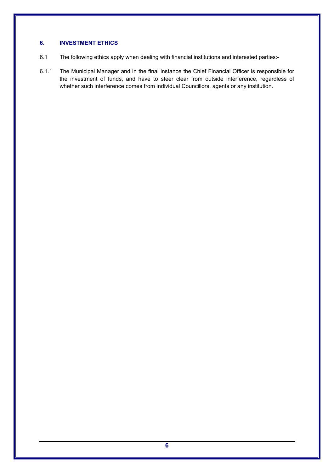# **6. INVESTMENT ETHICS**

- 6.1 The following ethics apply when dealing with financial institutions and interested parties:-
- 6.1.1 The Municipal Manager and in the final instance the Chief Financial Officer is responsible for the investment of funds, and have to steer clear from outside interference, regardless of whether such interference comes from individual Councillors, agents or any institution.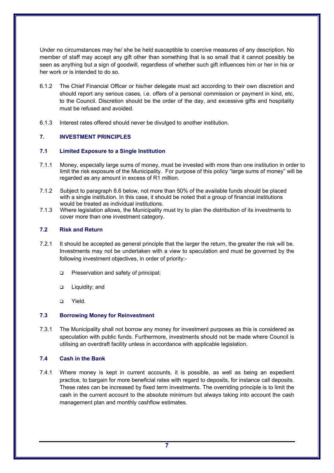Under no circumstances may he/ she be held susceptible to coercive measures of any description. No member of staff may accept any gift other than something that is so small that it cannot possibly be seen as anything but a sign of goodwill, regardless of whether such gift influences him or her in his or her work or is intended to do so.

- 6.1.2 The Chief Financial Officer or his/her delegate must act according to their own discretion and should report any serious cases, i.e. offers of a personal commission or payment in kind, etc, to the Council. Discretion should be the order of the day, and excessive gifts and hospitality must be refused and avoided.
- 6.1.3 Interest rates offered should never be divulged to another institution.

# **7. INVESTMENT PRINCIPLES**

### **7.1 Limited Exposure to a Single Institution**

- 7.1.1 Money, especially large sums of money, must be invested with more than one institution in order to limit the risk exposure of the Municipality. For purpose of this policy "large sums of money" will be regarded as any amount in excess of R1 million.
- 7.1.2 Subject to paragraph 8.6 below, not more than 50% of the available funds should be placed with a single institution. In this case, it should be noted that a group of financial institutions would be treated as individual institutions.
- 7.1.3 Where legislation allows, the Municipality must try to plan the distribution of its investments to cover more than one investment category.

# **7.2 Risk and Return**

- 7.2.1 It should be accepted as general principle that the larger the return, the greater the risk will be. Investments may not be undertaken with a view to speculation and must be governed by the following investment objectives, in order of priority:-
	- **D** Preservation and safety of principal;
	- □ Liquidity; and
	- Yield.

#### **7.3 Borrowing Money for Reinvestment**

7.3.1 The Municipality shall not borrow any money for investment purposes as this is considered as speculation with public funds. Furthermore, investments should not be made where Council is utilising an overdraft facility unless in accordance with applicable legislation.

#### **7.4 Cash in the Bank**

7.4.1 Where money is kept in current accounts, it is possible, as well as being an expedient practice, to bargain for more beneficial rates with regard to deposits, for instance call deposits. These rates can be increased by fixed term investments. The overriding principle is to limit the cash in the current account to the absolute minimum but always taking into account the cash management plan and monthly cashflow estimates.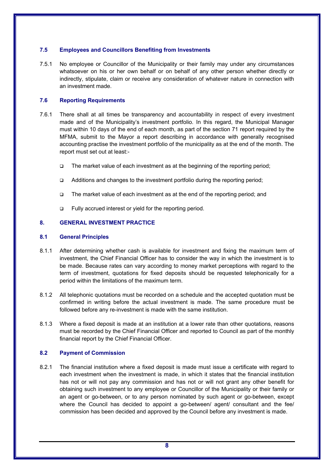# **7.5 Employees and Councillors Benefiting from Investments**

7.5.1 No employee or Councillor of the Municipality or their family may under any circumstances whatsoever on his or her own behalf or on behalf of any other person whether directly or indirectly, stipulate, claim or receive any consideration of whatever nature in connection with an investment made.

# **7.6 Reporting Requirements**

- 7.6.1 There shall at all times be transparency and accountability in respect of every investment made and of the Municipality's investment portfolio. In this regard, the Municipal Manager must within 10 days of the end of each month, as part of the section 71 report required by the MFMA, submit to the Mayor a report describing in accordance with generally recognised accounting practise the investment portfolio of the municipality as at the end of the month. The report must set out at least:-
	- The market value of each investment as at the beginning of the reporting period;
	- Additions and changes to the investment portfolio during the reporting period;
	- □ The market value of each investment as at the end of the reporting period; and
	- □ Fully accrued interest or yield for the reporting period.

# **8. GENERAL INVESTMENT PRACTICE**

# **8.1 General Principles**

- 8.1.1 After determining whether cash is available for investment and fixing the maximum term of investment, the Chief Financial Officer has to consider the way in which the investment is to be made. Because rates can vary according to money market perceptions with regard to the term of investment, quotations for fixed deposits should be requested telephonically for a period within the limitations of the maximum term.
- 8.1.2 All telephonic quotations must be recorded on a schedule and the accepted quotation must be confirmed in writing before the actual investment is made. The same procedure must be followed before any re-investment is made with the same institution.
- 8.1.3 Where a fixed deposit is made at an institution at a lower rate than other quotations, reasons must be recorded by the Chief Financial Officer and reported to Council as part of the monthly financial report by the Chief Financial Officer.

# **8.2 Payment of Commission**

8.2.1 The financial institution where a fixed deposit is made must issue a certificate with regard to each investment when the investment is made, in which it states that the financial institution has not or will not pay any commission and has not or will not grant any other benefit for obtaining such investment to any employee or Councillor of the Municipality or their family or an agent or go-between, or to any person nominated by such agent or go-between, except where the Council has decided to appoint a go-between/ agent/ consultant and the fee/ commission has been decided and approved by the Council before any investment is made.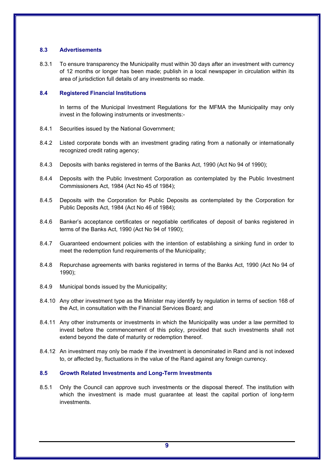# **8.3 Advertisements**

8.3.1 To ensure transparency the Municipality must within 30 days after an investment with currency of 12 months or longer has been made; publish in a local newspaper in circulation within its area of jurisdiction full details of any investments so made.

# **8.4 Registered Financial Institutions**

In terms of the Municipal Investment Regulations for the MFMA the Municipality may only invest in the following instruments or investments:-

- 8.4.1 Securities issued by the National Government;
- 8.4.2 Listed corporate bonds with an investment grading rating from a nationally or internationally recognized credit rating agency;
- 8.4.3 Deposits with banks registered in terms of the Banks Act, 1990 (Act No 94 of 1990);
- 8.4.4 Deposits with the Public Investment Corporation as contemplated by the Public Investment Commissioners Act, 1984 (Act No 45 of 1984);
- 8.4.5 Deposits with the Corporation for Public Deposits as contemplated by the Corporation for Public Deposits Act, 1984 (Act No 46 of 1984);
- 8.4.6 Banker's acceptance certificates or negotiable certificates of deposit of banks registered in terms of the Banks Act, 1990 (Act No 94 of 1990);
- 8.4.7 Guaranteed endowment policies with the intention of establishing a sinking fund in order to meet the redemption fund requirements of the Municipality;
- 8.4.8 Repurchase agreements with banks registered in terms of the Banks Act, 1990 (Act No 94 of 1990);
- 8.4.9 Municipal bonds issued by the Municipality;
- 8.4.10 Any other investment type as the Minister may identify by regulation in terms of section 168 of the Act, in consultation with the Financial Services Board; and
- 8.4.11 Any other instruments or investments in which the Municipality was under a law permitted to invest before the commencement of this policy, provided that such investments shall not extend beyond the date of maturity or redemption thereof.
- 8.4.12 An investment may only be made if the investment is denominated in Rand and is not indexed to, or affected by, fluctuations in the value of the Rand against any foreign currency.

# **8.5 Growth Related Investments and Long-Term Investments**

8.5.1 Only the Council can approve such investments or the disposal thereof. The institution with which the investment is made must guarantee at least the capital portion of long-term investments.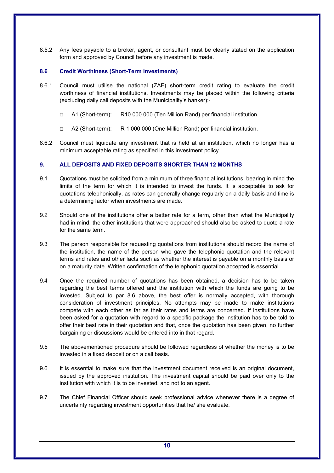8.5.2 Any fees payable to a broker, agent, or consultant must be clearly stated on the application form and approved by Council before any investment is made.

# **8.6 Credit Worthiness (Short-Term Investments)**

- 8.6.1 Council must utilise the national (ZAF) short-term credit rating to evaluate the credit worthiness of financial institutions. Investments may be placed within the following criteria (excluding daily call deposits with the Municipality's banker):-
	- A1 (Short-term): R10 000 000 (Ten Million Rand) per financial institution.
	- A2 (Short-term): R 1 000 000 (One Million Rand) per financial institution.
- 8.6.2 Council must liquidate any investment that is held at an institution, which no longer has a minimum acceptable rating as specified in this investment policy.

# **9. ALL DEPOSITS AND FIXED DEPOSITS SHORTER THAN 12 MONTHS**

- 9.1 Quotations must be solicited from a minimum of three financial institutions, bearing in mind the limits of the term for which it is intended to invest the funds. It is acceptable to ask for quotations telephonically, as rates can generally change regularly on a daily basis and time is a determining factor when investments are made.
- 9.2 Should one of the institutions offer a better rate for a term, other than what the Municipality had in mind, the other institutions that were approached should also be asked to quote a rate for the same term.
- 9.3 The person responsible for requesting quotations from institutions should record the name of the institution, the name of the person who gave the telephonic quotation and the relevant terms and rates and other facts such as whether the interest is payable on a monthly basis or on a maturity date. Written confirmation of the telephonic quotation accepted is essential.
- 9.4 Once the required number of quotations has been obtained, a decision has to be taken regarding the best terms offered and the institution with which the funds are going to be invested. Subject to par 8.6 above, the best offer is normally accepted, with thorough consideration of investment principles. No attempts may be made to make institutions compete with each other as far as their rates and terms are concerned. If institutions have been asked for a quotation with regard to a specific package the institution has to be told to offer their best rate in their quotation and that, once the quotation has been given, no further bargaining or discussions would be entered into in that regard.
- 9.5 The abovementioned procedure should be followed regardless of whether the money is to be invested in a fixed deposit or on a call basis.
- 9.6 It is essential to make sure that the investment document received is an original document, issued by the approved institution. The investment capital should be paid over only to the institution with which it is to be invested, and not to an agent.
- 9.7 The Chief Financial Officer should seek professional advice whenever there is a degree of uncertainty regarding investment opportunities that he/ she evaluate.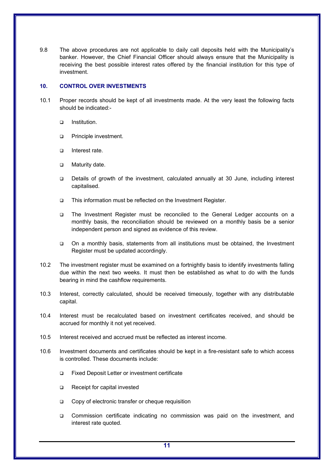9.8 The above procedures are not applicable to daily call deposits held with the Municipality's banker. However, the Chief Financial Officer should always ensure that the Municipality is receiving the best possible interest rates offered by the financial institution for this type of investment.

# **10. CONTROL OVER INVESTMENTS**

- 10.1 Proper records should be kept of all investments made. At the very least the following facts should be indicated:
	- n Institution
	- **D** Principle investment.
	- $\Box$  Interest rate.
	- □ Maturity date.
	- Details of growth of the investment, calculated annually at 30 June, including interest capitalised.
	- □ This information must be reflected on the Investment Register.
	- The Investment Register must be reconciled to the General Ledger accounts on a monthly basis, the reconciliation should be reviewed on a monthly basis be a senior independent person and signed as evidence of this review.
	- On a monthly basis, statements from all institutions must be obtained, the Investment Register must be updated accordingly.
- 10.2 The investment register must be examined on a fortnightly basis to identify investments falling due within the next two weeks. It must then be established as what to do with the funds bearing in mind the cashflow requirements.
- 10.3 Interest, correctly calculated, should be received timeously, together with any distributable capital.
- 10.4 Interest must be recalculated based on investment certificates received, and should be accrued for monthly it not yet received.
- 10.5 Interest received and accrued must be reflected as interest income.
- 10.6 Investment documents and certificates should be kept in a fire-resistant safe to which access is controlled. These documents include:
	- Fixed Deposit Letter or investment certificate
	- Receipt for capital invested
	- Copy of electronic transfer or cheque requisition
	- Commission certificate indicating no commission was paid on the investment, and interest rate quoted.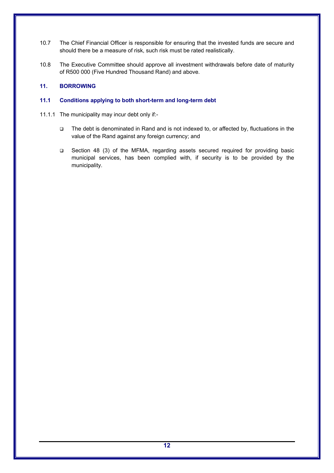- 10.7 The Chief Financial Officer is responsible for ensuring that the invested funds are secure and should there be a measure of risk, such risk must be rated realistically.
- 10.8 The Executive Committee should approve all investment withdrawals before date of maturity of R500 000 (Five Hundred Thousand Rand) and above.

# **11. BORROWING**

# **11.1 Conditions applying to both short-term and long-term debt**

- 11.1.1 The municipality may incur debt only if:-
	- The debt is denominated in Rand and is not indexed to, or affected by, fluctuations in the value of the Rand against any foreign currency; and
	- Section 48 (3) of the MFMA, regarding assets secured required for providing basic municipal services, has been complied with, if security is to be provided by the municipality.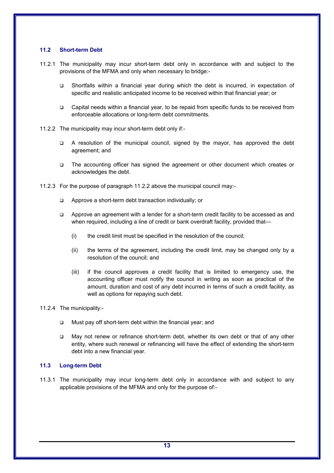# **11.2 Short-term Debt**

- 11.2.1 The municipality may incur short-term debt only in accordance with and subject to the provisions of the MFMA and only when necessary to bridge:-
	- Shortfalls within a financial year during which the debt is incurred, in expectation of specific and realistic anticipated income to be received within that financial year; or
	- Capital needs within a financial year, to be repaid from specific funds to be received from enforceable allocations or long-term debt commitments.
- 11.2.2 The municipality may incur short-term debt only if:-
	- A resolution of the municipal council, signed by the mayor, has approved the debt agreement; and
	- The accounting officer has signed the agreement or other document which creates or acknowledges the debt.
- 11.2.3 For the purpose of paragraph 11.2.2 above the municipal council may:-
	- Approve a short-term debt transaction individually; or
	- Approve an agreement with a lender for a short-term credit facility to be accessed as and when required, including a line of credit or bank overdraft facility, provided that—
		- (i) the credit limit must be specified in the resolution of the council;
		- (ii) the terms of the agreement, including the credit limit, may be changed only by a resolution of the council; and
		- (iii) if the council approves a credit facility that is limited to emergency use, the accounting officer must notify the council in writing as soon as practical of the amount, duration and cost of any debt incurred in terms of such a credit facility, as well as options for repaying such debt.

11.2.4 The municipality:-

- Must pay off short-term debt within the financial year; and
- May not renew or refinance short-term debt, whether its own debt or that of any other entity, where such renewal or refinancing will have the effect of extending the short-term debt into a new financial year.

# **11.3 Long-term Debt**

11.3.1 The municipality may incur long-term debt only in accordance with and subject to any applicable provisions of the MFMA and only for the purpose of:-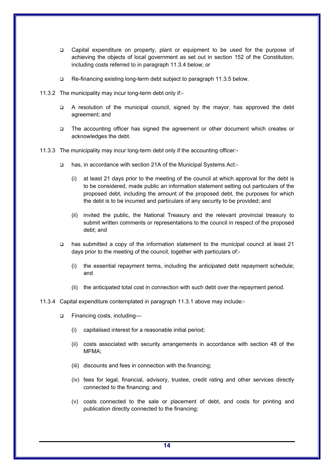- Capital expenditure on property, plant or equipment to be used for the purpose of achieving the objects of local government as set out in section 152 of the Constitution, including costs referred to in paragraph 11.3.4 below; or
- □ Re-financing existing long-term debt subject to paragraph 11.3.5 below.
- 11.3.2 The municipality may incur long-term debt only if:-
	- A resolution of the municipal council, signed by the mayor, has approved the debt agreement; and
	- □ The accounting officer has signed the agreement or other document which creates or acknowledges the debt.
- 11.3.3 The municipality may incur long-term debt only if the accounting officer:-
	- □ has, in accordance with section 21A of the Municipal Systems Act:-
		- (i) at least 21 days prior to the meeting of the council at which approval for the debt is to be considered, made public an information statement setting out particulars of the proposed debt, including the amount of the proposed debt, the purposes for which the debt is to be incurred and particulars of any security to be provided; and
		- (ii) invited the public, the National Treasury and the relevant provincial treasury to submit written comments or representations to the council in respect of the proposed debt; and
	- has submitted a copy of the information statement to the municipal council at least 21 days prior to the meeting of the council, together with particulars of:-
		- (i) the essential repayment terms, including the anticipated debt repayment schedule; and
		- (ii) the anticipated total cost in connection with such debt over the repayment period.

#### 11.3.4 Capital expenditure contemplated in paragraph 11.3.1 above may include:-

- □ Financing costs, including—
	- (i) capitalised interest for a reasonable initial period;
	- (ii) costs associated with security arrangements in accordance with section 48 of the MFMA;
	- (iii) discounts and fees in connection with the financing;
	- (iv) fees for legal, financial, advisory, trustee, credit rating and other services directly connected to the financing; and
	- (v) costs connected to the sale or placement of debt, and costs for printing and publication directly connected to the financing;